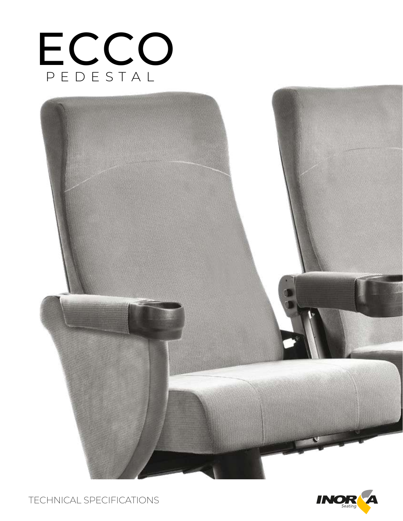



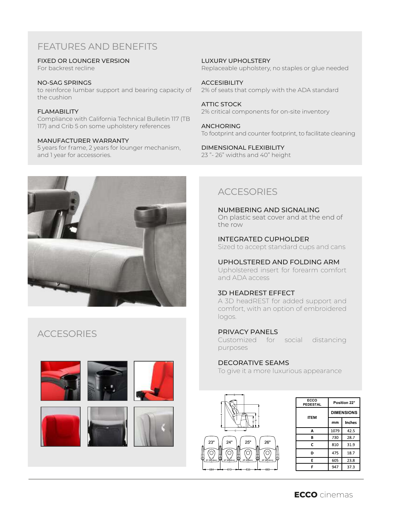# FEATURES AND BENEFITS

FIXED OR LOUNGER VERSION

For backrest recline

NO-SAG SPRINGS to reinforce lumbar support and bearing capacity of the cushion

**FI AMABILITY** Compliance with California Technical Bulletin 117 (TB 117) and Crib 5 on some upholstery references

### MANUFACTURER WARRANTY

5 years for frame, 2 years for lounger mechanism, and 1 year for accessories.



# **ACCESORIES**



LUXURY UPHOLSTERY Replaceable upholstery, no staples or glue needed

**ACCESIBILITY** 2% of seats that comply with the ADA standard

ATTIC STOCK 2% critical components for on-site inventory

ANCHORING To footprint and counter footprint, to facilitate cleaning

DIMENSIONAL FLEXIBILITY 23 "- 26" widths and 40" height

## ACCESORIES

NUMBERING AND SIGNALING On plastic seat cover and at the end of the row

INTEGRATED CUPHOLDER Sized to accept standard cups and cans

UPHOLSTERED AND FOLDING ARM

Upholstered insert for forearm comfort and ADA access

## 3D HEADREST EFFECT

A 3D headREST for added support and comfort, with an option of embroidered logos.

## PRIVACY PANELS

Customized for social distancing purposes

## DECORATIVE SEAMS

To give it a more luxurious appearance



| ECCO<br><b>PEDESTAL</b> | Position 22°      |        |
|-------------------------|-------------------|--------|
| <b>ITEM</b>             | <b>DIMENSIONS</b> |        |
|                         | mm                | Inches |
| А                       | 1079              | 42.5   |
| в                       | 730               | 28.7   |
| C                       | 810               | 31.9   |
| D                       | 475               | 18.7   |
| E                       | 605               | 23.8   |
| F                       | 947               | 37.3   |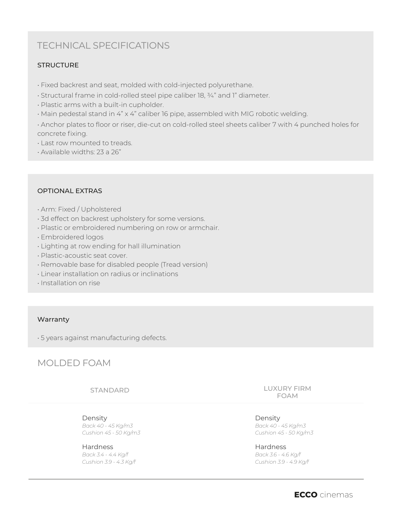# TECHNICAL SPECIFICATIONS

## **STRUCTURE**

- Fixed backrest and seat, molded with cold-injected polyurethane.
- Structural frame in cold-rolled steel pipe caliber 18, ¾" and 1" diameter.
- Plastic arms with a built-in cupholder.
- Main pedestal stand in 4" x 4" caliber 16 pipe, assembled with MIG robotic welding.

• Anchor plates to floor or riser, die-cut on cold-rolled steel sheets caliber 7 with 4 punched holes for concrete fixing.

- Last row mounted to treads.
- Available widths: 23 a 26"

### OPTIONAL EXTRAS

- Arm: Fixed / Upholstered
- 3d effect on backrest upholstery for some versions.
- Plastic or embroidered numbering on row or armchair.
- Embroidered logos
- Lighting at row ending for hall illumination
- Plastic-acoustic seat cover.
- Removable base for disabled people (Tread version)
- Linear installation on radius or inclinations
- Installation on rise

#### Warranty

• 5 years against manufacturing defects.

## MOLDED FOAM

STANDARD

Density *Back 40 - 45 Kg/m3 Cushion 45 - 50 Kg/m3*

Hardness *Back 3.4 - 4.4 Kg/f Cushion 3.9 - 4.3 Kg/f* LUXURY FIRM FOAM

Density *Back 40 - 45 Kg/m3 Cushion 45 - 50 Kg/m3*

Hardness *Back 3.6 - 4.6 Kg/f Cushion 3.9 - 4.9 Kg/f*